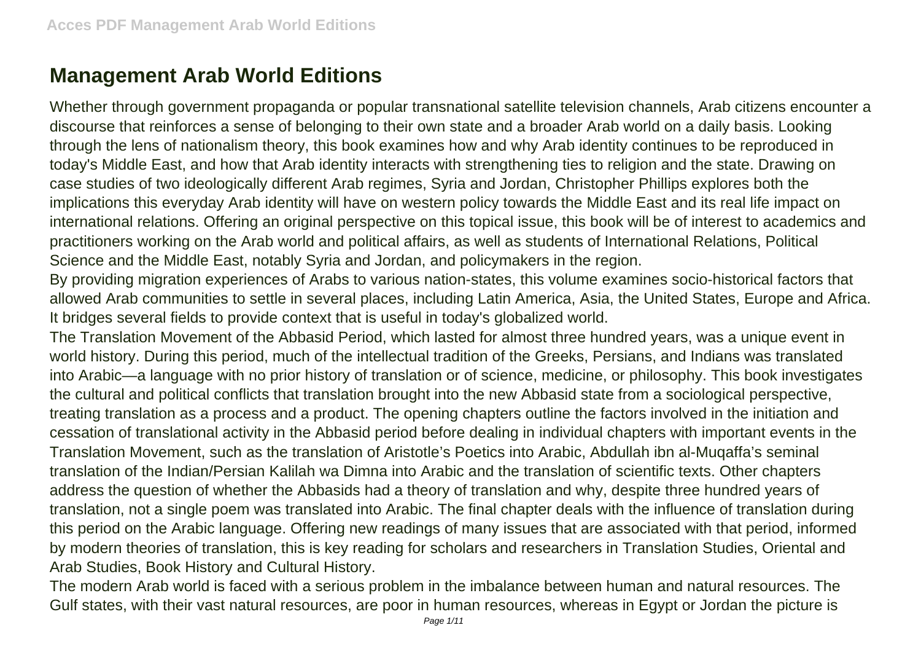## **Management Arab World Editions**

Whether through government propaganda or popular transnational satellite television channels, Arab citizens encounter a discourse that reinforces a sense of belonging to their own state and a broader Arab world on a daily basis. Looking through the lens of nationalism theory, this book examines how and why Arab identity continues to be reproduced in today's Middle East, and how that Arab identity interacts with strengthening ties to religion and the state. Drawing on case studies of two ideologically different Arab regimes, Syria and Jordan, Christopher Phillips explores both the implications this everyday Arab identity will have on western policy towards the Middle East and its real life impact on international relations. Offering an original perspective on this topical issue, this book will be of interest to academics and practitioners working on the Arab world and political affairs, as well as students of International Relations, Political Science and the Middle East, notably Syria and Jordan, and policymakers in the region.

By providing migration experiences of Arabs to various nation-states, this volume examines socio-historical factors that allowed Arab communities to settle in several places, including Latin America, Asia, the United States, Europe and Africa. It bridges several fields to provide context that is useful in today's globalized world.

The Translation Movement of the Abbasid Period, which lasted for almost three hundred years, was a unique event in world history. During this period, much of the intellectual tradition of the Greeks, Persians, and Indians was translated into Arabic—a language with no prior history of translation or of science, medicine, or philosophy. This book investigates the cultural and political conflicts that translation brought into the new Abbasid state from a sociological perspective, treating translation as a process and a product. The opening chapters outline the factors involved in the initiation and cessation of translational activity in the Abbasid period before dealing in individual chapters with important events in the Translation Movement, such as the translation of Aristotle's Poetics into Arabic, Abdullah ibn al-Muqaffa's seminal translation of the Indian/Persian Kalilah wa Dimna into Arabic and the translation of scientific texts. Other chapters address the question of whether the Abbasids had a theory of translation and why, despite three hundred years of translation, not a single poem was translated into Arabic. The final chapter deals with the influence of translation during this period on the Arabic language. Offering new readings of many issues that are associated with that period, informed by modern theories of translation, this is key reading for scholars and researchers in Translation Studies, Oriental and Arab Studies, Book History and Cultural History.

The modern Arab world is faced with a serious problem in the imbalance between human and natural resources. The Gulf states, with their vast natural resources, are poor in human resources, whereas in Egypt or Jordan the picture is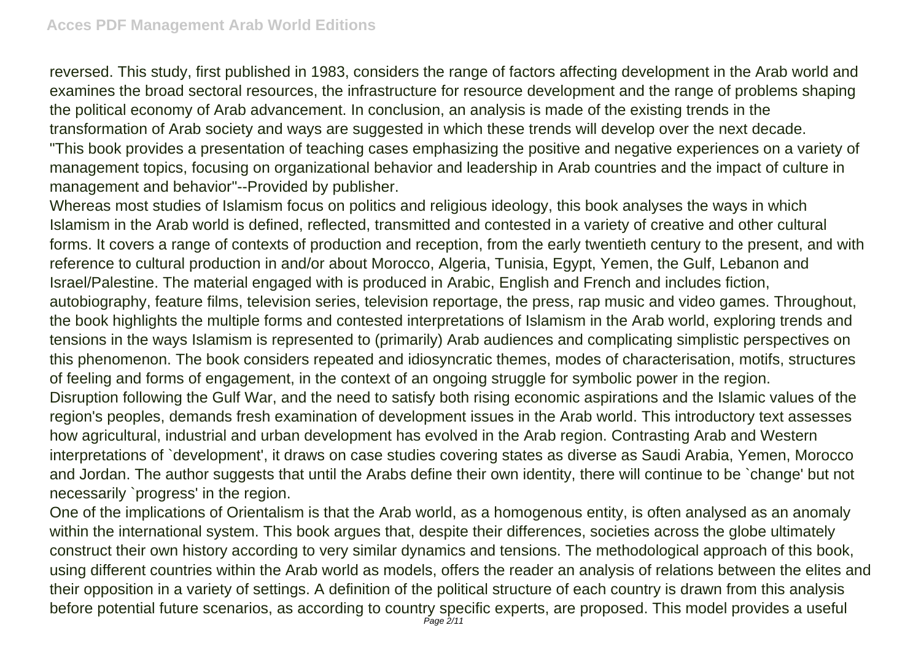reversed. This study, first published in 1983, considers the range of factors affecting development in the Arab world and examines the broad sectoral resources, the infrastructure for resource development and the range of problems shaping the political economy of Arab advancement. In conclusion, an analysis is made of the existing trends in the transformation of Arab society and ways are suggested in which these trends will develop over the next decade. "This book provides a presentation of teaching cases emphasizing the positive and negative experiences on a variety of management topics, focusing on organizational behavior and leadership in Arab countries and the impact of culture in management and behavior"--Provided by publisher.

Whereas most studies of Islamism focus on politics and religious ideology, this book analyses the ways in which Islamism in the Arab world is defined, reflected, transmitted and contested in a variety of creative and other cultural forms. It covers a range of contexts of production and reception, from the early twentieth century to the present, and with reference to cultural production in and/or about Morocco, Algeria, Tunisia, Egypt, Yemen, the Gulf, Lebanon and Israel/Palestine. The material engaged with is produced in Arabic, English and French and includes fiction, autobiography, feature films, television series, television reportage, the press, rap music and video games. Throughout, the book highlights the multiple forms and contested interpretations of Islamism in the Arab world, exploring trends and tensions in the ways Islamism is represented to (primarily) Arab audiences and complicating simplistic perspectives on this phenomenon. The book considers repeated and idiosyncratic themes, modes of characterisation, motifs, structures of feeling and forms of engagement, in the context of an ongoing struggle for symbolic power in the region. Disruption following the Gulf War, and the need to satisfy both rising economic aspirations and the Islamic values of the region's peoples, demands fresh examination of development issues in the Arab world. This introductory text assesses how agricultural, industrial and urban development has evolved in the Arab region. Contrasting Arab and Western interpretations of `development', it draws on case studies covering states as diverse as Saudi Arabia, Yemen, Morocco and Jordan. The author suggests that until the Arabs define their own identity, there will continue to be `change' but not necessarily `progress' in the region.

One of the implications of Orientalism is that the Arab world, as a homogenous entity, is often analysed as an anomaly within the international system. This book argues that, despite their differences, societies across the globe ultimately construct their own history according to very similar dynamics and tensions. The methodological approach of this book, using different countries within the Arab world as models, offers the reader an analysis of relations between the elites and their opposition in a variety of settings. A definition of the political structure of each country is drawn from this analysis before potential future scenarios, as according to country specific experts, are proposed. This model provides a useful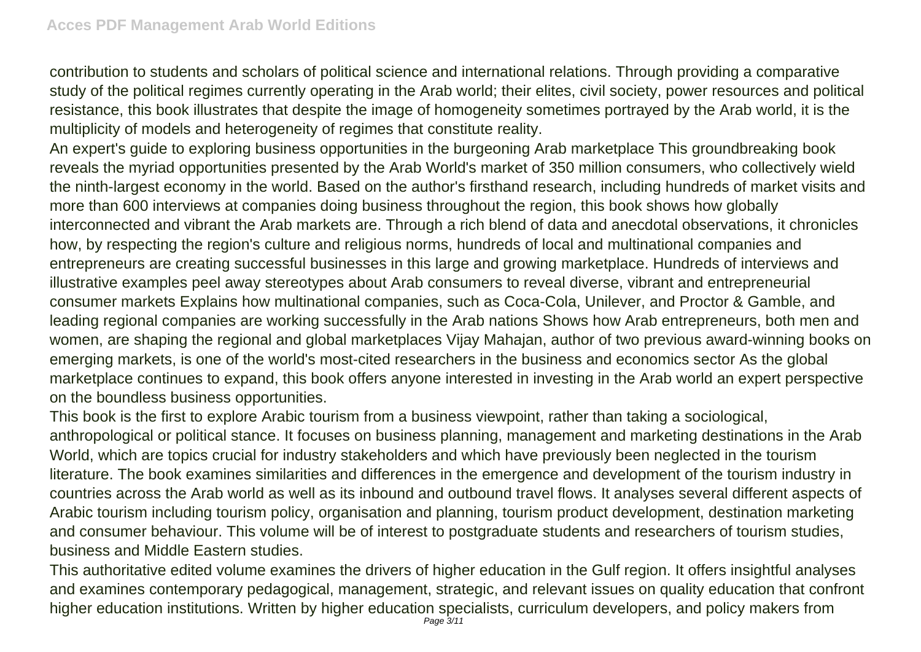contribution to students and scholars of political science and international relations. Through providing a comparative study of the political regimes currently operating in the Arab world; their elites, civil society, power resources and political resistance, this book illustrates that despite the image of homogeneity sometimes portrayed by the Arab world, it is the multiplicity of models and heterogeneity of regimes that constitute reality.

An expert's guide to exploring business opportunities in the burgeoning Arab marketplace This groundbreaking book reveals the myriad opportunities presented by the Arab World's market of 350 million consumers, who collectively wield the ninth-largest economy in the world. Based on the author's firsthand research, including hundreds of market visits and more than 600 interviews at companies doing business throughout the region, this book shows how globally interconnected and vibrant the Arab markets are. Through a rich blend of data and anecdotal observations, it chronicles how, by respecting the region's culture and religious norms, hundreds of local and multinational companies and entrepreneurs are creating successful businesses in this large and growing marketplace. Hundreds of interviews and illustrative examples peel away stereotypes about Arab consumers to reveal diverse, vibrant and entrepreneurial consumer markets Explains how multinational companies, such as Coca-Cola, Unilever, and Proctor & Gamble, and leading regional companies are working successfully in the Arab nations Shows how Arab entrepreneurs, both men and women, are shaping the regional and global marketplaces Vijay Mahajan, author of two previous award-winning books on emerging markets, is one of the world's most-cited researchers in the business and economics sector As the global marketplace continues to expand, this book offers anyone interested in investing in the Arab world an expert perspective on the boundless business opportunities.

This book is the first to explore Arabic tourism from a business viewpoint, rather than taking a sociological, anthropological or political stance. It focuses on business planning, management and marketing destinations in the Arab World, which are topics crucial for industry stakeholders and which have previously been neglected in the tourism literature. The book examines similarities and differences in the emergence and development of the tourism industry in countries across the Arab world as well as its inbound and outbound travel flows. It analyses several different aspects of Arabic tourism including tourism policy, organisation and planning, tourism product development, destination marketing and consumer behaviour. This volume will be of interest to postgraduate students and researchers of tourism studies, business and Middle Eastern studies.

This authoritative edited volume examines the drivers of higher education in the Gulf region. It offers insightful analyses and examines contemporary pedagogical, management, strategic, and relevant issues on quality education that confront higher education institutions. Written by higher education specialists, curriculum developers, and policy makers from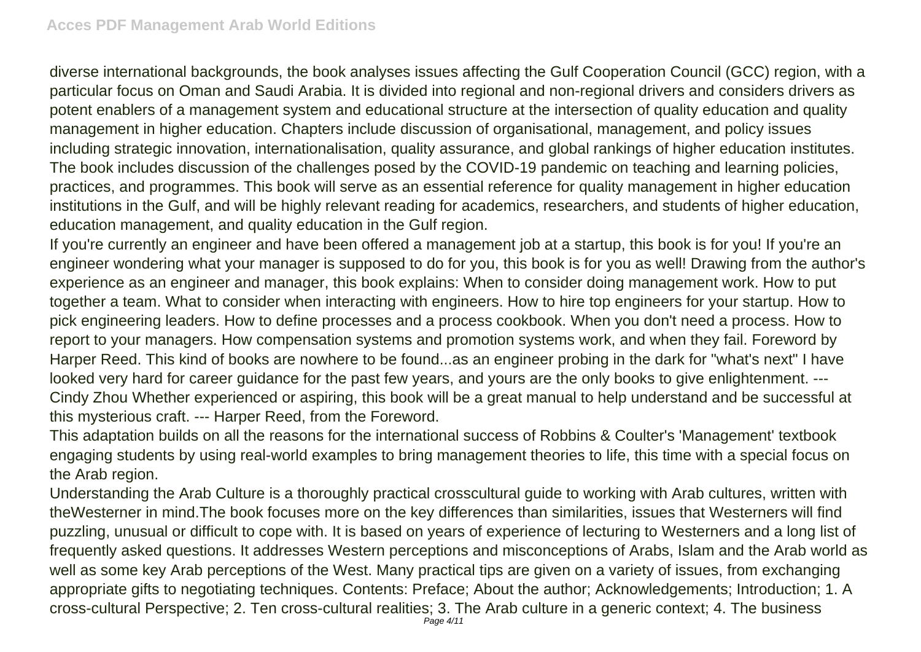diverse international backgrounds, the book analyses issues affecting the Gulf Cooperation Council (GCC) region, with a particular focus on Oman and Saudi Arabia. It is divided into regional and non-regional drivers and considers drivers as potent enablers of a management system and educational structure at the intersection of quality education and quality management in higher education. Chapters include discussion of organisational, management, and policy issues including strategic innovation, internationalisation, quality assurance, and global rankings of higher education institutes. The book includes discussion of the challenges posed by the COVID-19 pandemic on teaching and learning policies, practices, and programmes. This book will serve as an essential reference for quality management in higher education institutions in the Gulf, and will be highly relevant reading for academics, researchers, and students of higher education, education management, and quality education in the Gulf region.

If you're currently an engineer and have been offered a management job at a startup, this book is for you! If you're an engineer wondering what your manager is supposed to do for you, this book is for you as well! Drawing from the author's experience as an engineer and manager, this book explains: When to consider doing management work. How to put together a team. What to consider when interacting with engineers. How to hire top engineers for your startup. How to pick engineering leaders. How to define processes and a process cookbook. When you don't need a process. How to report to your managers. How compensation systems and promotion systems work, and when they fail. Foreword by Harper Reed. This kind of books are nowhere to be found...as an engineer probing in the dark for "what's next" I have looked very hard for career guidance for the past few years, and yours are the only books to give enlightenment. --- Cindy Zhou Whether experienced or aspiring, this book will be a great manual to help understand and be successful at this mysterious craft. --- Harper Reed, from the Foreword.

This adaptation builds on all the reasons for the international success of Robbins & Coulter's 'Management' textbook engaging students by using real-world examples to bring management theories to life, this time with a special focus on the Arab region.

Understanding the Arab Culture is a thoroughly practical crosscultural guide to working with Arab cultures, written with theWesterner in mind.The book focuses more on the key differences than similarities, issues that Westerners will find puzzling, unusual or difficult to cope with. It is based on years of experience of lecturing to Westerners and a long list of frequently asked questions. It addresses Western perceptions and misconceptions of Arabs, Islam and the Arab world as well as some key Arab perceptions of the West. Many practical tips are given on a variety of issues, from exchanging appropriate gifts to negotiating techniques. Contents: Preface; About the author; Acknowledgements; Introduction; 1. A cross-cultural Perspective; 2. Ten cross-cultural realities; 3. The Arab culture in a generic context; 4. The business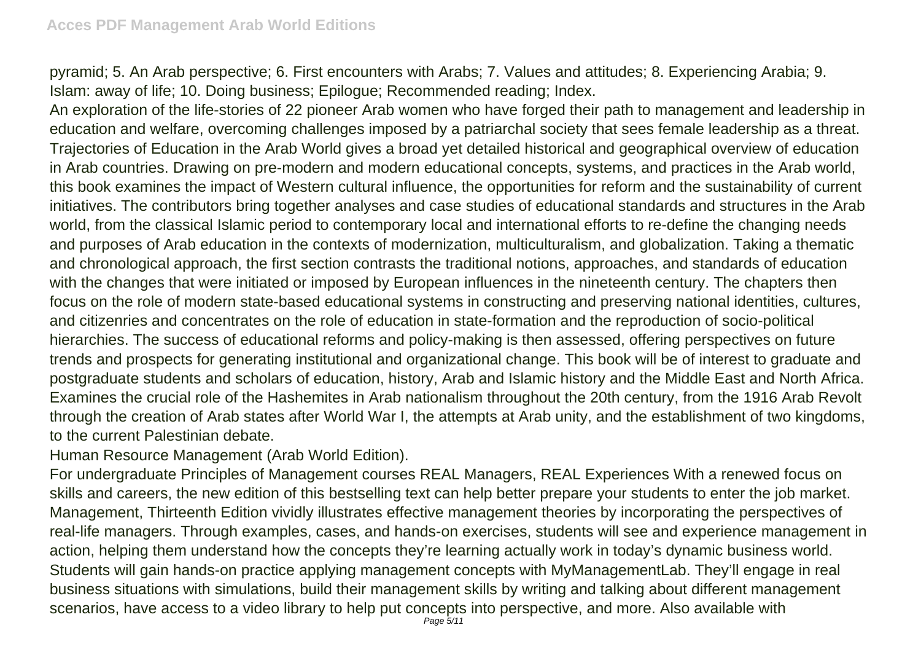pyramid; 5. An Arab perspective; 6. First encounters with Arabs; 7. Values and attitudes; 8. Experiencing Arabia; 9. Islam: away of life; 10. Doing business; Epilogue; Recommended reading; Index.

An exploration of the life-stories of 22 pioneer Arab women who have forged their path to management and leadership in education and welfare, overcoming challenges imposed by a patriarchal society that sees female leadership as a threat. Trajectories of Education in the Arab World gives a broad yet detailed historical and geographical overview of education in Arab countries. Drawing on pre-modern and modern educational concepts, systems, and practices in the Arab world, this book examines the impact of Western cultural influence, the opportunities for reform and the sustainability of current initiatives. The contributors bring together analyses and case studies of educational standards and structures in the Arab world, from the classical Islamic period to contemporary local and international efforts to re-define the changing needs and purposes of Arab education in the contexts of modernization, multiculturalism, and globalization. Taking a thematic and chronological approach, the first section contrasts the traditional notions, approaches, and standards of education with the changes that were initiated or imposed by European influences in the nineteenth century. The chapters then focus on the role of modern state-based educational systems in constructing and preserving national identities, cultures, and citizenries and concentrates on the role of education in state-formation and the reproduction of socio-political hierarchies. The success of educational reforms and policy-making is then assessed, offering perspectives on future trends and prospects for generating institutional and organizational change. This book will be of interest to graduate and postgraduate students and scholars of education, history, Arab and Islamic history and the Middle East and North Africa. Examines the crucial role of the Hashemites in Arab nationalism throughout the 20th century, from the 1916 Arab Revolt through the creation of Arab states after World War I, the attempts at Arab unity, and the establishment of two kingdoms, to the current Palestinian debate.

Human Resource Management (Arab World Edition).

For undergraduate Principles of Management courses REAL Managers, REAL Experiences With a renewed focus on skills and careers, the new edition of this bestselling text can help better prepare your students to enter the job market. Management, Thirteenth Edition vividly illustrates effective management theories by incorporating the perspectives of real-life managers. Through examples, cases, and hands-on exercises, students will see and experience management in action, helping them understand how the concepts they're learning actually work in today's dynamic business world. Students will gain hands-on practice applying management concepts with MyManagementLab. They'll engage in real business situations with simulations, build their management skills by writing and talking about different management scenarios, have access to a video library to help put concepts into perspective, and more. Also available with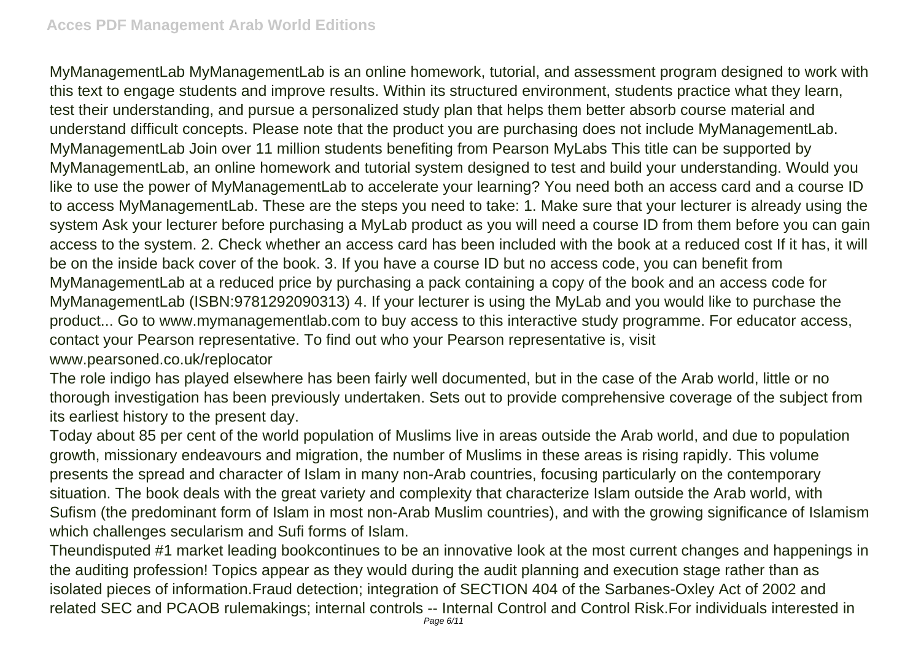MyManagementLab MyManagementLab is an online homework, tutorial, and assessment program designed to work with this text to engage students and improve results. Within its structured environment, students practice what they learn, test their understanding, and pursue a personalized study plan that helps them better absorb course material and understand difficult concepts. Please note that the product you are purchasing does not include MyManagementLab. MyManagementLab Join over 11 million students benefiting from Pearson MyLabs This title can be supported by MyManagementLab, an online homework and tutorial system designed to test and build your understanding. Would you like to use the power of MyManagementLab to accelerate your learning? You need both an access card and a course ID to access MyManagementLab. These are the steps you need to take: 1. Make sure that your lecturer is already using the system Ask your lecturer before purchasing a MyLab product as you will need a course ID from them before you can gain access to the system. 2. Check whether an access card has been included with the book at a reduced cost If it has, it will be on the inside back cover of the book. 3. If you have a course ID but no access code, you can benefit from MyManagementLab at a reduced price by purchasing a pack containing a copy of the book and an access code for MyManagementLab (ISBN:9781292090313) 4. If your lecturer is using the MyLab and you would like to purchase the product... Go to www.mymanagementlab.com to buy access to this interactive study programme. For educator access, contact your Pearson representative. To find out who your Pearson representative is, visit www.pearsoned.co.uk/replocator

The role indigo has played elsewhere has been fairly well documented, but in the case of the Arab world, little or no thorough investigation has been previously undertaken. Sets out to provide comprehensive coverage of the subject from its earliest history to the present day.

Today about 85 per cent of the world population of Muslims live in areas outside the Arab world, and due to population growth, missionary endeavours and migration, the number of Muslims in these areas is rising rapidly. This volume presents the spread and character of Islam in many non-Arab countries, focusing particularly on the contemporary situation. The book deals with the great variety and complexity that characterize Islam outside the Arab world, with Sufism (the predominant form of Islam in most non-Arab Muslim countries), and with the growing significance of Islamism which challenges secularism and Sufi forms of Islam.

Theundisputed #1 market leading bookcontinues to be an innovative look at the most current changes and happenings in the auditing profession! Topics appear as they would during the audit planning and execution stage rather than as isolated pieces of information.Fraud detection; integration of SECTION 404 of the Sarbanes-Oxley Act of 2002 and related SEC and PCAOB rulemakings; internal controls -- Internal Control and Control Risk.For individuals interested in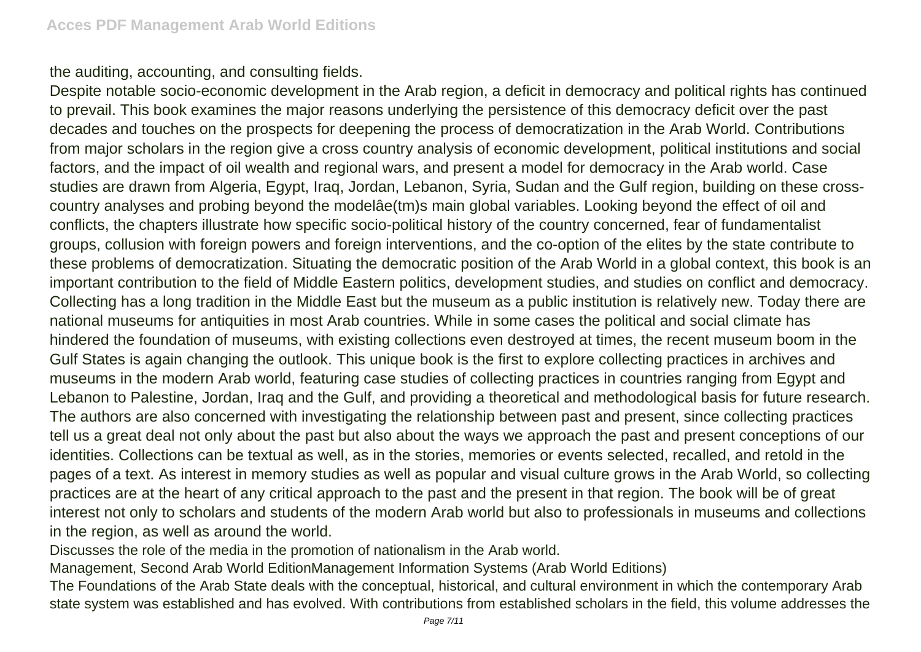the auditing, accounting, and consulting fields.

Despite notable socio-economic development in the Arab region, a deficit in democracy and political rights has continued to prevail. This book examines the major reasons underlying the persistence of this democracy deficit over the past decades and touches on the prospects for deepening the process of democratization in the Arab World. Contributions from major scholars in the region give a cross country analysis of economic development, political institutions and social factors, and the impact of oil wealth and regional wars, and present a model for democracy in the Arab world. Case studies are drawn from Algeria, Egypt, Iraq, Jordan, Lebanon, Syria, Sudan and the Gulf region, building on these crosscountry analyses and probing beyond the modelâe(tm)s main global variables. Looking beyond the effect of oil and conflicts, the chapters illustrate how specific socio-political history of the country concerned, fear of fundamentalist groups, collusion with foreign powers and foreign interventions, and the co-option of the elites by the state contribute to these problems of democratization. Situating the democratic position of the Arab World in a global context, this book is an important contribution to the field of Middle Eastern politics, development studies, and studies on conflict and democracy. Collecting has a long tradition in the Middle East but the museum as a public institution is relatively new. Today there are national museums for antiquities in most Arab countries. While in some cases the political and social climate has hindered the foundation of museums, with existing collections even destroyed at times, the recent museum boom in the Gulf States is again changing the outlook. This unique book is the first to explore collecting practices in archives and museums in the modern Arab world, featuring case studies of collecting practices in countries ranging from Egypt and Lebanon to Palestine, Jordan, Iraq and the Gulf, and providing a theoretical and methodological basis for future research. The authors are also concerned with investigating the relationship between past and present, since collecting practices tell us a great deal not only about the past but also about the ways we approach the past and present conceptions of our identities. Collections can be textual as well, as in the stories, memories or events selected, recalled, and retold in the pages of a text. As interest in memory studies as well as popular and visual culture grows in the Arab World, so collecting practices are at the heart of any critical approach to the past and the present in that region. The book will be of great interest not only to scholars and students of the modern Arab world but also to professionals in museums and collections in the region, as well as around the world.

Discusses the role of the media in the promotion of nationalism in the Arab world.

Management, Second Arab World EditionManagement Information Systems (Arab World Editions)

The Foundations of the Arab State deals with the conceptual, historical, and cultural environment in which the contemporary Arab state system was established and has evolved. With contributions from established scholars in the field, this volume addresses the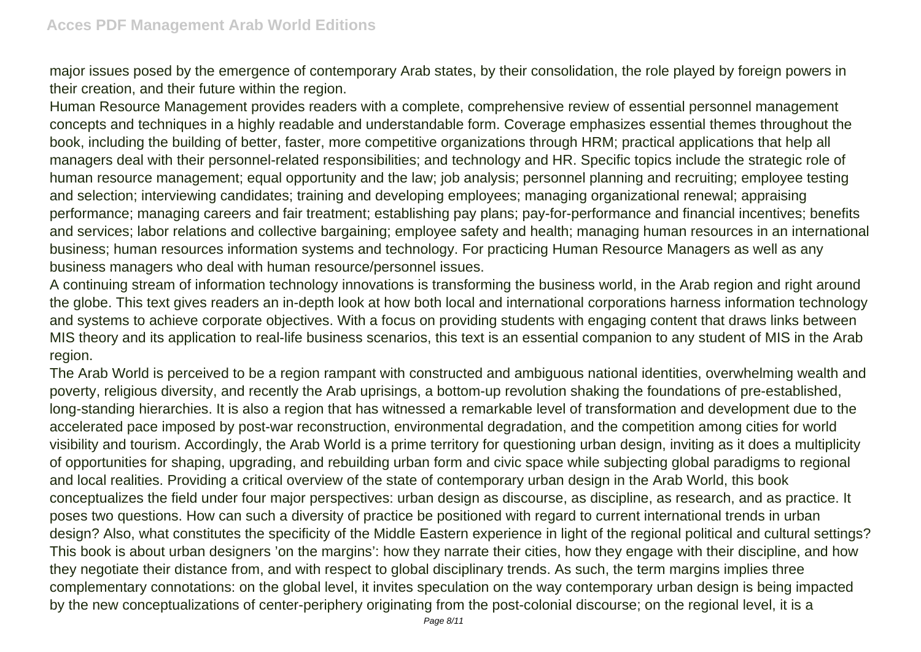major issues posed by the emergence of contemporary Arab states, by their consolidation, the role played by foreign powers in their creation, and their future within the region.

Human Resource Management provides readers with a complete, comprehensive review of essential personnel management concepts and techniques in a highly readable and understandable form. Coverage emphasizes essential themes throughout the book, including the building of better, faster, more competitive organizations through HRM; practical applications that help all managers deal with their personnel-related responsibilities; and technology and HR. Specific topics include the strategic role of human resource management; equal opportunity and the law; job analysis; personnel planning and recruiting; employee testing and selection; interviewing candidates; training and developing employees; managing organizational renewal; appraising performance; managing careers and fair treatment; establishing pay plans; pay-for-performance and financial incentives; benefits and services; labor relations and collective bargaining; employee safety and health; managing human resources in an international business; human resources information systems and technology. For practicing Human Resource Managers as well as any business managers who deal with human resource/personnel issues.

A continuing stream of information technology innovations is transforming the business world, in the Arab region and right around the globe. This text gives readers an in-depth look at how both local and international corporations harness information technology and systems to achieve corporate objectives. With a focus on providing students with engaging content that draws links between MIS theory and its application to real-life business scenarios, this text is an essential companion to any student of MIS in the Arab region.

The Arab World is perceived to be a region rampant with constructed and ambiguous national identities, overwhelming wealth and poverty, religious diversity, and recently the Arab uprisings, a bottom-up revolution shaking the foundations of pre-established, long-standing hierarchies. It is also a region that has witnessed a remarkable level of transformation and development due to the accelerated pace imposed by post-war reconstruction, environmental degradation, and the competition among cities for world visibility and tourism. Accordingly, the Arab World is a prime territory for questioning urban design, inviting as it does a multiplicity of opportunities for shaping, upgrading, and rebuilding urban form and civic space while subjecting global paradigms to regional and local realities. Providing a critical overview of the state of contemporary urban design in the Arab World, this book conceptualizes the field under four major perspectives: urban design as discourse, as discipline, as research, and as practice. It poses two questions. How can such a diversity of practice be positioned with regard to current international trends in urban design? Also, what constitutes the specificity of the Middle Eastern experience in light of the regional political and cultural settings? This book is about urban designers 'on the margins': how they narrate their cities, how they engage with their discipline, and how they negotiate their distance from, and with respect to global disciplinary trends. As such, the term margins implies three complementary connotations: on the global level, it invites speculation on the way contemporary urban design is being impacted by the new conceptualizations of center-periphery originating from the post-colonial discourse; on the regional level, it is a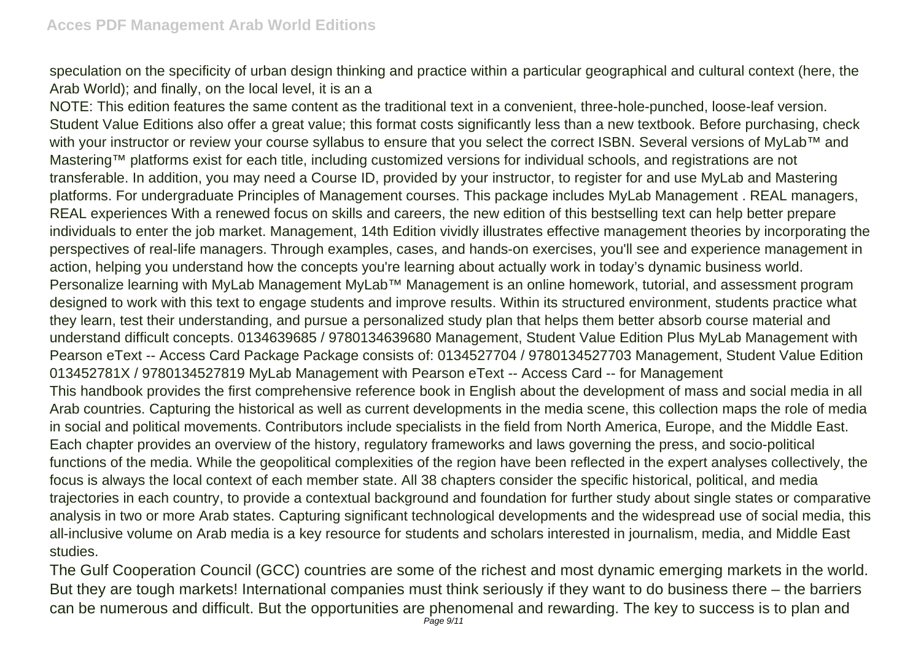speculation on the specificity of urban design thinking and practice within a particular geographical and cultural context (here, the Arab World); and finally, on the local level, it is an a

NOTE: This edition features the same content as the traditional text in a convenient, three-hole-punched, loose-leaf version. Student Value Editions also offer a great value; this format costs significantly less than a new textbook. Before purchasing, check with your instructor or review your course syllabus to ensure that you select the correct ISBN. Several versions of MyLab™ and Mastering™ platforms exist for each title, including customized versions for individual schools, and registrations are not transferable. In addition, you may need a Course ID, provided by your instructor, to register for and use MyLab and Mastering platforms. For undergraduate Principles of Management courses. This package includes MyLab Management . REAL managers, REAL experiences With a renewed focus on skills and careers, the new edition of this bestselling text can help better prepare individuals to enter the job market. Management, 14th Edition vividly illustrates effective management theories by incorporating the perspectives of real-life managers. Through examples, cases, and hands-on exercises, you'll see and experience management in action, helping you understand how the concepts you're learning about actually work in today's dynamic business world. Personalize learning with MyLab Management MyLab™ Management is an online homework, tutorial, and assessment program designed to work with this text to engage students and improve results. Within its structured environment, students practice what they learn, test their understanding, and pursue a personalized study plan that helps them better absorb course material and understand difficult concepts. 0134639685 / 9780134639680 Management, Student Value Edition Plus MyLab Management with Pearson eText -- Access Card Package Package consists of: 0134527704 / 9780134527703 Management, Student Value Edition 013452781X / 9780134527819 MyLab Management with Pearson eText -- Access Card -- for Management This handbook provides the first comprehensive reference book in English about the development of mass and social media in all Arab countries. Capturing the historical as well as current developments in the media scene, this collection maps the role of media in social and political movements. Contributors include specialists in the field from North America, Europe, and the Middle East. Each chapter provides an overview of the history, regulatory frameworks and laws governing the press, and socio-political functions of the media. While the geopolitical complexities of the region have been reflected in the expert analyses collectively, the focus is always the local context of each member state. All 38 chapters consider the specific historical, political, and media trajectories in each country, to provide a contextual background and foundation for further study about single states or comparative analysis in two or more Arab states. Capturing significant technological developments and the widespread use of social media, this all-inclusive volume on Arab media is a key resource for students and scholars interested in journalism, media, and Middle East studies.

The Gulf Cooperation Council (GCC) countries are some of the richest and most dynamic emerging markets in the world. But they are tough markets! International companies must think seriously if they want to do business there – the barriers can be numerous and difficult. But the opportunities are phenomenal and rewarding. The key to success is to plan and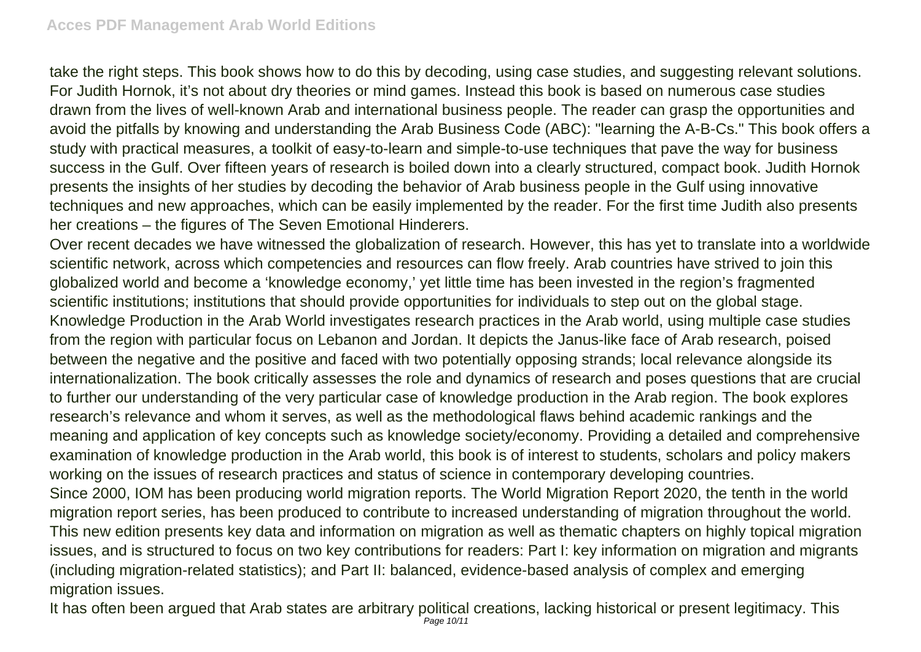take the right steps. This book shows how to do this by decoding, using case studies, and suggesting relevant solutions. For Judith Hornok, it's not about dry theories or mind games. Instead this book is based on numerous case studies drawn from the lives of well-known Arab and international business people. The reader can grasp the opportunities and avoid the pitfalls by knowing and understanding the Arab Business Code (ABC): "learning the A-B-Cs." This book offers a study with practical measures, a toolkit of easy-to-learn and simple-to-use techniques that pave the way for business success in the Gulf. Over fifteen years of research is boiled down into a clearly structured, compact book. Judith Hornok presents the insights of her studies by decoding the behavior of Arab business people in the Gulf using innovative techniques and new approaches, which can be easily implemented by the reader. For the first time Judith also presents her creations – the figures of The Seven Emotional Hinderers.

Over recent decades we have witnessed the globalization of research. However, this has yet to translate into a worldwide scientific network, across which competencies and resources can flow freely. Arab countries have strived to join this globalized world and become a 'knowledge economy,' yet little time has been invested in the region's fragmented scientific institutions; institutions that should provide opportunities for individuals to step out on the global stage. Knowledge Production in the Arab World investigates research practices in the Arab world, using multiple case studies from the region with particular focus on Lebanon and Jordan. It depicts the Janus-like face of Arab research, poised between the negative and the positive and faced with two potentially opposing strands; local relevance alongside its internationalization. The book critically assesses the role and dynamics of research and poses questions that are crucial to further our understanding of the very particular case of knowledge production in the Arab region. The book explores research's relevance and whom it serves, as well as the methodological flaws behind academic rankings and the meaning and application of key concepts such as knowledge society/economy. Providing a detailed and comprehensive examination of knowledge production in the Arab world, this book is of interest to students, scholars and policy makers working on the issues of research practices and status of science in contemporary developing countries. Since 2000, IOM has been producing world migration reports. The World Migration Report 2020, the tenth in the world migration report series, has been produced to contribute to increased understanding of migration throughout the world. This new edition presents key data and information on migration as well as thematic chapters on highly topical migration issues, and is structured to focus on two key contributions for readers: Part I: key information on migration and migrants

(including migration-related statistics); and Part II: balanced, evidence-based analysis of complex and emerging migration issues.

It has often been argued that Arab states are arbitrary political creations, lacking historical or present legitimacy. This Page 10/11